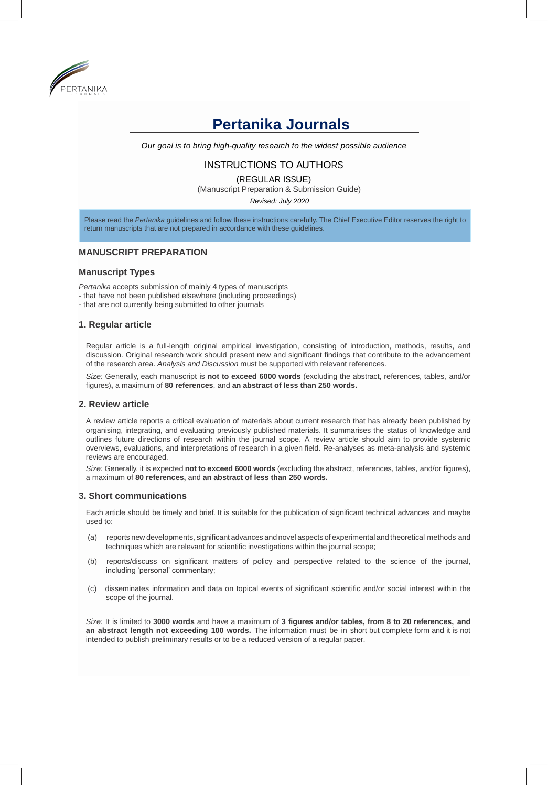

# **Pertanika Journals**

*Our goal is to bring high-quality research to the widest possible audience*

# INSTRUCTIONS TO AUTHORS

(REGULAR ISSUE)

(Manuscript Preparation & Submission Guide)

*Revised: July 2020*

Please read the *Pertanika* guidelines and follow these instructions carefully. The Chief Executive Editor reserves the right to return manuscripts that are not prepared in accordance with these guidelines.

# **MANUSCRIPT PREPARATION**

## **Manuscript Types**

*Pertanika* accepts submission of mainly **4** types of manuscripts

- that have not been published elsewhere (including proceedings)
- that are not currently being submitted to other journals

#### **1. Regular article**

Regular article is a full-length original empirical investigation, consisting of introduction, methods, results, and discussion. Original research work should present new and significant findings that contribute to the advancement of the research area. *Analysis and Discussion* must be supported with relevant references.

*Size:* Generally, each manuscript is **not to exceed 6000 words** (excluding the abstract, references, tables, and/or figures)**,** a maximum of **80 references**, and **an abstract of less than 250 words.**

## **2. Review article**

A review article reports a critical evaluation of materials about current research that has already been published by organising, integrating, and evaluating previously published materials. It summarises the status of knowledge and outlines future directions of research within the journal scope. A review article should aim to provide systemic overviews, evaluations, and interpretations of research in a given field. Re-analyses as meta-analysis and systemic reviews are encouraged.

*Size:* Generally, it is expected **not to exceed 6000 words** (excluding the abstract, references, tables, and/or figures), a maximum of **80 references,** and **an abstract of less than 250 words.**

#### **3. Short communications**

Each article should be timely and brief. It is suitable for the publication of significant technical advances and maybe used to:

- (a) reports new developments, significant advances and novel aspects of experimental and theoretical methods and techniques which are relevant for scientific investigations within the journal scope;
- (b) reports/discuss on significant matters of policy and perspective related to the science of the journal, including 'personal' commentary;
- (c) disseminates information and data on topical events of significant scientific and/or social interest within the scope of the journal.

*Size:* It is limited to **3000 words** and have a maximum of **3 figures and/or tables, from 8 to 20 references, and an abstract length not exceeding 100 words.** The information must be in short but complete form and it is not intended to publish preliminary results or to be a reduced version of a regular paper.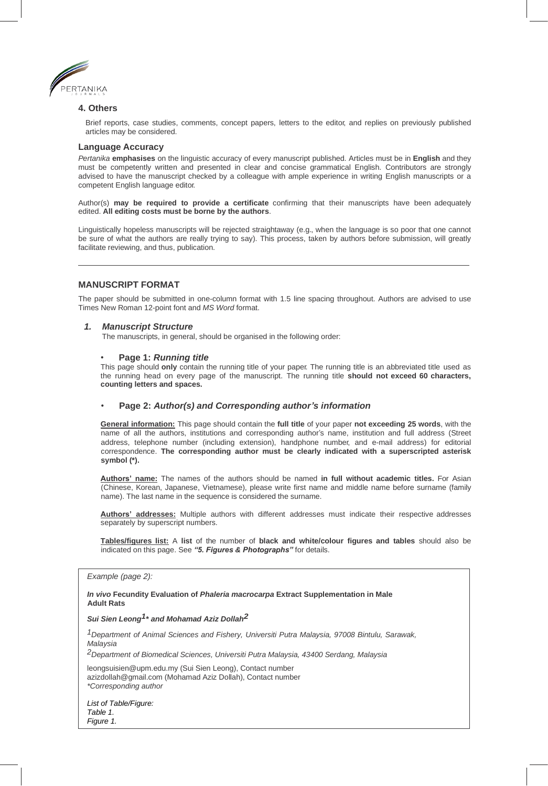

## **4. Others**

Brief reports, case studies, comments, concept papers, letters to the editor, and replies on previously published articles may be considered.

#### **Language Accuracy**

*Pertanika* **emphasises** on the linguistic accuracy of every manuscript published. Articles must be in **English** and they must be competently written and presented in clear and concise grammatical English. Contributors are strongly advised to have the manuscript checked by a colleague with ample experience in writing English manuscripts or a competent English language editor.

Author(s) **may be required to provide a certificate** confirming that their manuscripts have been adequately edited. **All editing costs must be borne by the authors**.

Linguistically hopeless manuscripts will be rejected straightaway (e.g., when the language is so poor that one cannot be sure of what the authors are really trying to say). This process, taken by authors before submission, will greatly facilitate reviewing, and thus, publication.

## **MANUSCRIPT FORMAT**

The paper should be submitted in one-column format with 1.5 line spacing throughout. Authors are advised to use Times New Roman 12-point font and *MS Word* format.

#### *1. Manuscript Structure*

The manuscripts, in general, should be organised in the following order:

#### • **Page 1:** *Running title*

This page should **only** contain the running title of your paper. The running title is an abbreviated title used as the running head on every page of the manuscript. The running title **should not exceed 60 characters, counting letters and spaces.**

## • **Page 2:** *Author(s) and Corresponding author's information*

**General information:** This page should contain the **full title** of your paper **not exceeding 25 words**, with the name of all the authors, institutions and corresponding author's name, institution and full address (Street address, telephone number (including extension), handphone number, and e-mail address) for editorial correspondence. **The corresponding author must be clearly indicated with a superscripted asterisk symbol (\*).**

**Authors' name:** The names of the authors should be named **in full without academic titles.** For Asian (Chinese, Korean, Japanese, Vietnamese), please write first name and middle name before surname (family name). The last name in the sequence is considered the surname.

**Authors' addresses:** Multiple authors with different addresses must indicate their respective addresses separately by superscript numbers.

**Tables/figures list:** A **list** of the number of **black and white/colour figures and tables** should also be indicated on this page. See *"5. Figures & Photographs"* for details.

#### *Example (page 2):*

*In vivo* **Fecundity Evaluation of** *Phaleria macrocarpa* **Extract Supplementation in Male Adult Rats**

*Sui Sien Leong1\* and Mohamad Aziz Dollah2*

*1Department of Animal Sciences and Fishery, Universiti Putra Malaysia, 97008 Bintulu, Sarawak, Malaysia*

*2Department of Biomedical Sciences, Universiti Putra Malaysia, 43400 Serdang, Malaysia*

[leongsuisien@upm.edu.my](mailto:leongsuisien@upm.edu.my) (Sui Sien Leong), Contact numbe[r](mailto:azizdollah@gmail.com) [azizdollah@gmail.com](mailto:azizdollah@gmail.com) (Mohamad Aziz Dollah), Contact number *\*Corresponding author*

*List of Table/Figure: Table 1. Figure 1.*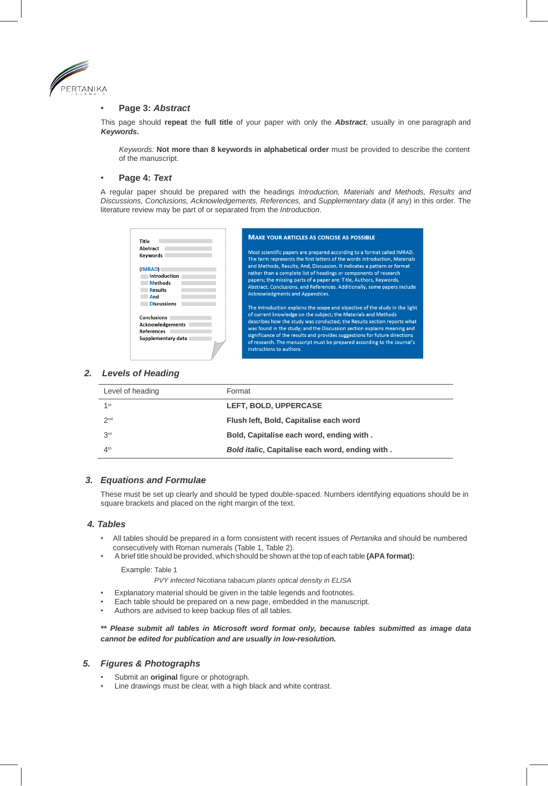

## • **Page 3:** *Abstract*

This page should **repeat** the **full title** of your paper with only the *Abstract*, usually in one paragraph and *Keywords***.**

*Keywords:* **Not more than 8 keywords in alphabetical order** must be provided to describe the content of the manuscript.

## • **Page 4:** *Text*

A regular paper should be prepared with the headings *Introduction, Materials and Methods, Results and Discussions, Conclusions, Acknowledgements, References,* and *Supplementary data* (if any) in this order. The literature review may be part of or separated from the *Introduction*.

| Title                                                                                            | <b>MAKE YOUR ARTICLES AS CONCISE AS POSSIBLE</b>                                                                                                                                                                                                                                                                                                                                                                                                                                            |
|--------------------------------------------------------------------------------------------------|---------------------------------------------------------------------------------------------------------------------------------------------------------------------------------------------------------------------------------------------------------------------------------------------------------------------------------------------------------------------------------------------------------------------------------------------------------------------------------------------|
| Abstract<br>Keywords<br>(IMRAD)<br>Introduction<br><b>Methods</b><br><b>Results</b><br>And       | Most scientific papers are prepared according to a format called IMRAD.<br>The term represents the first letters of the words Introduction, Materials<br>and Methods, Results, And, Discussion. It indicates a pattern or format<br>rather than a complete list of headings or components of research<br>papers; the missing parts of a paper are: Title, Authors, Keywords,<br>Abstract, Conclusions, and References. Additionally, some papers include<br>Acknowledgments and Appendices. |
| <b>Discussions</b><br>Conclusions<br><b>Acknowledgements</b><br>References<br>Supplementary data | The Introduction explains the scope and objective of the study in the light<br>of current knowledge on the subject; the Materials and Methods<br>describes how the study was conducted; the Results section reports what<br>was found in the study; and the Discussion section explains meaning and<br>significance of the results and provides suggestions for future directions<br>of research. The manuscript must be prepared according to the Journal's<br>instructions to authors.    |

# *2. Levels of Heading*

| Level of heading | Format                                          |
|------------------|-------------------------------------------------|
| 1 <sup>st</sup>  | LEFT, BOLD, UPPERCASE                           |
| 2 <sub>nd</sub>  | Flush left, Bold, Capitalise each word          |
| 3 <sup>rd</sup>  | Bold, Capitalise each word, ending with.        |
| 4 <sup>th</sup>  | Bold italic, Capitalise each word, ending with. |

## *3. Equations and Formulae*

These must be set up clearly and should be typed double-spaced. Numbers identifying equations should be in square brackets and placed on the right margin of the text.

#### *4. Tables*

- All tables should be prepared in a form consistent with recent issues of *Pertanika* and should be numbered consecutively with Roman numerals (Table 1, Table 2).
- A brief title should be provided, which should be shown at the top of each table **(APA format):**

Example: Table 1

*PVY infected* Nicotiana tabacum *plants optical density in ELISA*

- Explanatory material should be given in the table legends and footnotes.
- Each table should be prepared on a new page, embedded in the manuscript.
- Authors are advised to keep backup files of all tables.

*\*\* Please submit all tables in Microsoft word format only, because tables submitted as image data cannot be edited for publication and are usually in low-resolution.*

## *5. Figures & Photographs*

- Submit an **original** figure or photograph.
- Line drawings must be clear, with a high black and white contrast.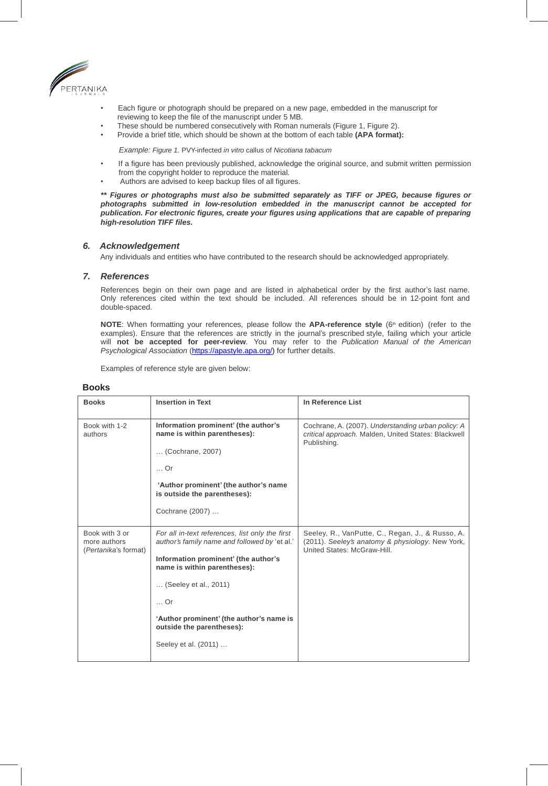

- Each figure or photograph should be prepared on a new page, embedded in the manuscript for reviewing to keep the file of the manuscript under 5 MB.
- These should be numbered consecutively with Roman numerals (Figure 1, Figure 2).
- Provide a brief title, which should be shown at the bottom of each table **(APA format):**

*Example: Figure 1.* PVY-infected *in vitro* callus of *Nicotiana tabacum*

- If a figure has been previously published, acknowledge the original source, and submit written permission from the copyright holder to reproduce the material.
- Authors are advised to keep backup files of all figures.

*\*\* Figures or photographs must also be submitted separately as TIFF or JPEG, because figures or photographs submitted in low-resolution embedded in the manuscript cannot be accepted for publication. For electronic figures, create your figures using applications that are capable of preparing high-resolution TIFF files.*

#### *6. Acknowledgement*

Any individuals and entities who have contributed to the research should be acknowledged appropriately.

# *7. References*

References begin on their own page and are listed in alphabetical order by the first author's last name. Only references cited within the text should be included. All references should be in 12-point font and double-spaced.

**NOTE:** When formatting your references, please follow the **APA-reference style** (6<sup>th</sup> edition) (refer to the examples). Ensure that the references are strictly in the journal's prescribed style, failing which your article will **not be accepted for peer-review**. You may refer to the *Publication Manual of the American Psychological Association* (https://apastyle.apa.org/) for further details.

Examples of reference style are given below:

| <b>Books</b>                                           | <b>Insertion in Text</b>                                                                                                                                                                                                                                                                                 | In Reference List                                                                                                                   |
|--------------------------------------------------------|----------------------------------------------------------------------------------------------------------------------------------------------------------------------------------------------------------------------------------------------------------------------------------------------------------|-------------------------------------------------------------------------------------------------------------------------------------|
| Book with 1-2<br>authors                               | Information prominent' (the author's<br>name is within parentheses):<br>(Cochrane, 2007)<br>$\ldots$ Or<br>'Author prominent' (the author's name<br>is outside the parentheses):<br>Cochrane (2007)                                                                                                      | Cochrane, A. (2007). Understanding urban policy: A<br>critical approach. Malden, United States: Blackwell<br>Publishing.            |
| Book with 3 or<br>more authors<br>(Pertanika's format) | For all in-text references, list only the first<br>author's family name and followed by 'et al.'<br>Information prominent' (the author's<br>name is within parentheses):<br>(Seeley et al., 2011)<br>Or<br>'Author prominent' (the author's name is<br>outside the parentheses):<br>Seeley et al. (2011) | Seeley, R., VanPutte, C., Regan, J., & Russo, A.<br>(2011). Seeley's anatomy & physiology. New York,<br>United States: McGraw-Hill. |

# **Books**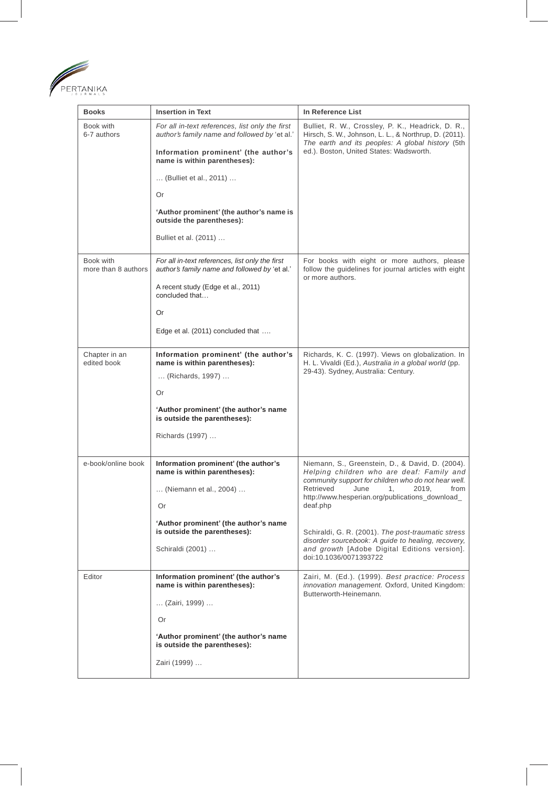

| <b>Books</b>                                                                   | <b>Insertion in Text</b>                                                                         | In Reference List                                                                                                                                              |  |
|--------------------------------------------------------------------------------|--------------------------------------------------------------------------------------------------|----------------------------------------------------------------------------------------------------------------------------------------------------------------|--|
| Book with<br>6-7 authors                                                       | For all in-text references, list only the first<br>author's family name and followed by 'et al.' | Bulliet, R. W., Crossley, P. K., Headrick, D. R.,<br>Hirsch, S. W., Johnson, L. L., & Northrup, D. (2011).<br>The earth and its peoples: A global history (5th |  |
|                                                                                | Information prominent' (the author's<br>name is within parentheses):                             | ed.). Boston, United States: Wadsworth.                                                                                                                        |  |
|                                                                                | (Bulliet et al., 2011)                                                                           |                                                                                                                                                                |  |
|                                                                                | Or                                                                                               |                                                                                                                                                                |  |
|                                                                                | 'Author prominent' (the author's name is<br>outside the parentheses):                            |                                                                                                                                                                |  |
|                                                                                | Bulliet et al. (2011)                                                                            |                                                                                                                                                                |  |
| Book with<br>more than 8 authors                                               | For all in-text references, list only the first<br>author's family name and followed by 'et al.' | For books with eight or more authors, please<br>follow the guidelines for journal articles with eight<br>or more authors.                                      |  |
|                                                                                | A recent study (Edge et al., 2011)<br>concluded that                                             |                                                                                                                                                                |  |
|                                                                                | Or                                                                                               |                                                                                                                                                                |  |
|                                                                                | Edge et al. (2011) concluded that                                                                |                                                                                                                                                                |  |
| Chapter in an<br>edited book                                                   | Information prominent' (the author's<br>name is within parentheses):                             | Richards, K. C. (1997). Views on globalization. In<br>H. L. Vivaldi (Ed.), Australia in a global world (pp.                                                    |  |
|                                                                                | (Richards, 1997)                                                                                 | 29-43). Sydney, Australia: Century.                                                                                                                            |  |
|                                                                                | Or                                                                                               |                                                                                                                                                                |  |
|                                                                                | 'Author prominent' (the author's name<br>is outside the parentheses):                            |                                                                                                                                                                |  |
|                                                                                | Richards (1997)                                                                                  |                                                                                                                                                                |  |
| e-book/online book                                                             | Information prominent' (the author's                                                             | Niemann, S., Greenstein, D., & David, D. (2004).                                                                                                               |  |
|                                                                                | name is within parentheses):<br>(Niemann et al., 2004)                                           | Helping children who are deaf: Family and<br>community support for children who do not hear well.<br>from<br>Retrieved<br>June<br>1,<br>2019,                  |  |
|                                                                                | Or                                                                                               | http://www.hesperian.org/publications_download_<br>deaf.php                                                                                                    |  |
|                                                                                | 'Author prominent' (the author's name                                                            |                                                                                                                                                                |  |
|                                                                                | is outside the parentheses):                                                                     | Schiraldi, G. R. (2001). The post-traumatic stress<br>disorder sourcebook: A guide to healing, recovery,                                                       |  |
|                                                                                | Schiraldi (2001)                                                                                 | and growth [Adobe Digital Editions version].<br>doi:10.1036/0071393722                                                                                         |  |
| Information prominent' (the author's<br>Editor<br>name is within parentheses): |                                                                                                  | Zairi, M. (Ed.). (1999). Best practice: Process<br>innovation management. Oxford, United Kingdom:<br>Butterworth-Heinemann.                                    |  |
|                                                                                | (Zairi, 1999)                                                                                    |                                                                                                                                                                |  |
|                                                                                | Or                                                                                               |                                                                                                                                                                |  |
|                                                                                | 'Author prominent' (the author's name<br>is outside the parentheses):                            |                                                                                                                                                                |  |
|                                                                                | Zairi (1999)                                                                                     |                                                                                                                                                                |  |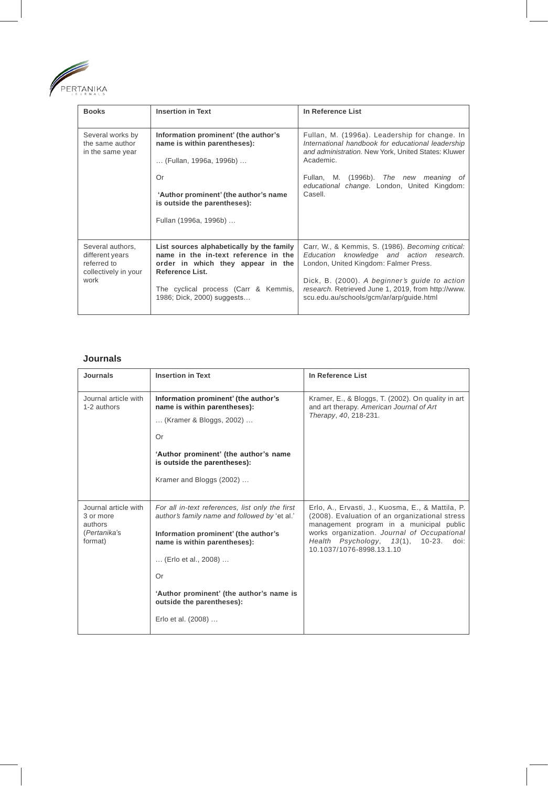

| <b>Books</b>                                                                       | <b>Insertion in Text</b>                                                                                                                                                                                        | In Reference List                                                                                                                                                                                                                                                                         |
|------------------------------------------------------------------------------------|-----------------------------------------------------------------------------------------------------------------------------------------------------------------------------------------------------------------|-------------------------------------------------------------------------------------------------------------------------------------------------------------------------------------------------------------------------------------------------------------------------------------------|
| Several works by<br>the same author<br>in the same year                            | Information prominent' (the author's<br>name is within parentheses):<br>(Fullan, 1996a, 1996b)<br>Or<br>'Author prominent' (the author's name<br>is outside the parentheses):<br>Fullan (1996a, 1996b)          | Fullan, M. (1996a). Leadership for change. In<br>International handbook for educational leadership<br>and administration. New York, United States: Kluwer<br>Academic.<br>Fullan, M. (1996b). The new meaning of<br>educational change. London, United Kingdom:<br>Casell.                |
| Several authors,<br>different years<br>referred to<br>collectively in your<br>work | List sources alphabetically by the family<br>name in the in-text reference in the<br>order in which they appear in the<br>Reference List.<br>The cyclical process (Carr & Kemmis,<br>1986; Dick, 2000) suggests | Carr, W., & Kemmis, S. (1986). Becoming critical:<br>Education knowledge and action research.<br>London, United Kingdom: Falmer Press.<br>Dick, B. (2000). A beginner's guide to action<br>research. Retrieved June 1, 2019, from http://www.<br>scu.edu.au/schools/gcm/ar/arp/guide.html |

# **Journals**

| Journals                                                                | <b>Insertion in Text</b>                                                                         | In Reference List                                                                                                                              |
|-------------------------------------------------------------------------|--------------------------------------------------------------------------------------------------|------------------------------------------------------------------------------------------------------------------------------------------------|
| Journal article with<br>1-2 authors                                     | Information prominent' (the author's<br>name is within parentheses):                             | Kramer, E., & Bloggs, T. (2002). On quality in art<br>and art therapy. American Journal of Art                                                 |
|                                                                         | (Kramer & Bloggs, 2002)                                                                          | Therapy, 40, 218-231.                                                                                                                          |
|                                                                         | Or                                                                                               |                                                                                                                                                |
|                                                                         | 'Author prominent' (the author's name<br>is outside the parentheses):                            |                                                                                                                                                |
|                                                                         | Kramer and Bloggs (2002)                                                                         |                                                                                                                                                |
|                                                                         |                                                                                                  |                                                                                                                                                |
| Journal article with<br>3 or more<br>authors<br>(Pertanika's<br>format) | For all in-text references, list only the first<br>author's family name and followed by 'et al.' | Erlo, A., Ervasti, J., Kuosma, E., & Mattila, P.<br>(2008). Evaluation of an organizational stress<br>management program in a municipal public |
|                                                                         | Information prominent' (the author's<br>name is within parentheses):                             | works organization. Journal of Occupational<br>Health Psychology, 13(1),<br>10-23.<br>doi:<br>10.1037/1076-8998.13.1.10                        |
|                                                                         | (Erlo et al., 2008)                                                                              |                                                                                                                                                |
|                                                                         | Or                                                                                               |                                                                                                                                                |
|                                                                         | 'Author prominent' (the author's name is<br>outside the parentheses):                            |                                                                                                                                                |
|                                                                         | Erlo et al. (2008)                                                                               |                                                                                                                                                |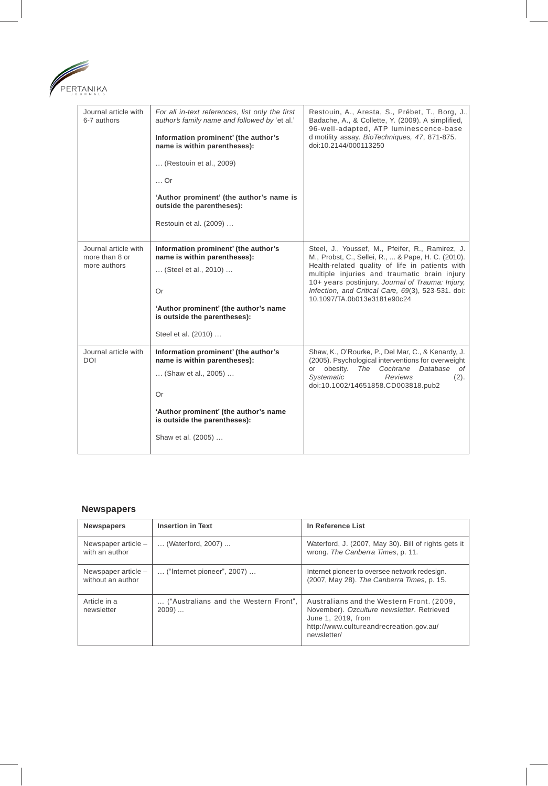

| Journal article with<br>6-7 authors                    | For all in-text references, list only the first<br>author's family name and followed by 'et al.'<br>Information prominent' (the author's<br>name is within parentheses):<br>(Restouin et al., 2009)<br>$\ldots$ Or<br>'Author prominent' (the author's name is<br>outside the parentheses):<br>Restouin et al. (2009) | Restouin, A., Aresta, S., Prébet, T., Borg, J.,<br>Badache, A., & Collette, Y. (2009). A simplified,<br>96-well-adapted, ATP luminescence-base<br>d motility assay. BioTechniques, 47, 871-875.<br>doi:10.2144/000113250                                                                                                                           |
|--------------------------------------------------------|-----------------------------------------------------------------------------------------------------------------------------------------------------------------------------------------------------------------------------------------------------------------------------------------------------------------------|----------------------------------------------------------------------------------------------------------------------------------------------------------------------------------------------------------------------------------------------------------------------------------------------------------------------------------------------------|
| Journal article with<br>more than 8 or<br>more authors | Information prominent' (the author's<br>name is within parentheses):<br>(Steel et al., 2010)<br>Or<br>'Author prominent' (the author's name<br>is outside the parentheses):<br>Steel et al. (2010)                                                                                                                    | Steel, J., Youssef, M., Pfeifer, R., Ramirez, J.<br>M., Probst, C., Sellei, R.,  & Pape, H. C. (2010).<br>Health-related quality of life in patients with<br>multiple injuries and traumatic brain injury<br>10+ years postinjury. Journal of Trauma: Injury,<br>Infection, and Critical Care, 69(3), 523-531. doi:<br>10.1097/TA.0b013e3181e90c24 |
| Journal article with<br><b>DOI</b>                     | Information prominent' (the author's<br>name is within parentheses):<br>(Shaw et al., 2005)<br>Or<br>'Author prominent' (the author's name<br>is outside the parentheses):<br>Shaw et al. (2005)                                                                                                                      | Shaw, K., O'Rourke, P., Del Mar, C., & Kenardy, J.<br>(2005). Psychological interventions for overweight<br>or obesity. The Cochrane Database<br>of<br>Systematic<br>Reviews<br>(2).<br>doi:10.1002/14651858.CD003818.pub2                                                                                                                         |

# **Newspapers**

| <b>Newspapers</b>                        | <b>Insertion in Text</b>                         | In Reference List                                                                                                                                                       |
|------------------------------------------|--------------------------------------------------|-------------------------------------------------------------------------------------------------------------------------------------------------------------------------|
| Newspaper article -<br>with an author    | (Waterford, 2007)                                | Waterford, J. (2007, May 30). Bill of rights gets it<br>wrong. The Canberra Times, p. 11.                                                                               |
| Newspaper article -<br>without an author | $\ldots$ ("Internet pioneer", 2007) $\ldots$     | Internet pioneer to oversee network redesign.<br>(2007, May 28). The Canberra Times, p. 15.                                                                             |
| Article in a<br>newsletter               | ("Australians and the Western Front",<br>$2009)$ | Australians and the Western Front. (2009,<br>November). Ozculture newsletter. Retrieved<br>June 1, 2019, from<br>http://www.cultureandrecreation.gov.au/<br>newsletter/ |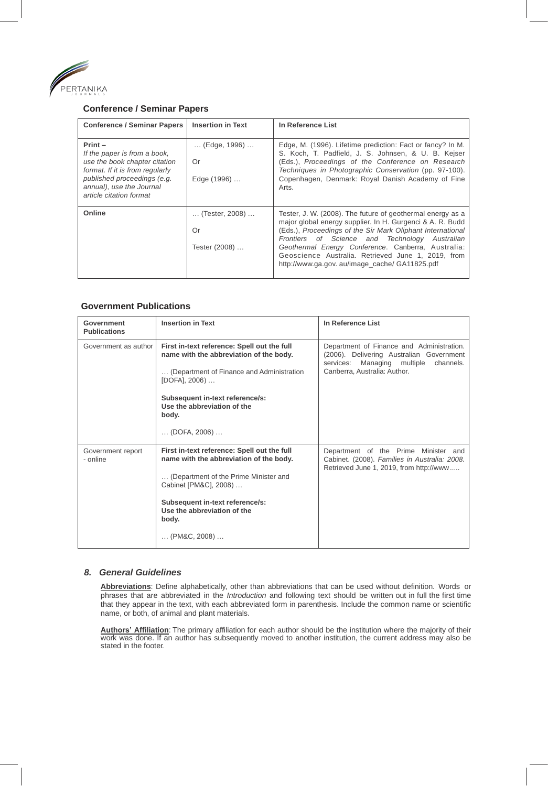

# **Conference / Seminar Papers**

| <b>Conference / Seminar Papers</b>                                                                                                                                                                  | <b>Insertion in Text</b>                            | In Reference List                                                                                                                                                                                                                                                                                                                                                                                        |
|-----------------------------------------------------------------------------------------------------------------------------------------------------------------------------------------------------|-----------------------------------------------------|----------------------------------------------------------------------------------------------------------------------------------------------------------------------------------------------------------------------------------------------------------------------------------------------------------------------------------------------------------------------------------------------------------|
| $Print -$<br>If the paper is from a book,<br>use the book chapter citation<br>format. If it is from regularly<br>published proceedings (e.g.<br>annual), use the Journal<br>article citation format | $\ldots$ (Edge, 1996) $\ldots$<br>Or<br>Edge (1996) | Edge, M. (1996). Lifetime prediction: Fact or fancy? In M.<br>S. Koch, T. Padfield, J. S. Johnsen, & U. B. Kejser<br>(Eds.), Proceedings of the Conference on Research<br>Techniques in Photographic Conservation (pp. 97-100).<br>Copenhagen, Denmark: Royal Danish Academy of Fine<br>Arts.                                                                                                            |
| Online                                                                                                                                                                                              | (Tester, 2008)<br>Or<br>Tester (2008)               | Tester, J. W. (2008). The future of geothermal energy as a<br>major global energy supplier. In H. Gurgenci & A. R. Budd<br>(Eds.), Proceedings of the Sir Mark Oliphant International<br>Frontiers of Science and Technology<br>Australian<br>Geothermal Energy Conference. Canberra, Australia:<br>Geoscience Australia. Retrieved June 1, 2019, from<br>http://www.ga.gov. au/image_cache/ GA11825.pdf |

# **Government Publications**

| Government<br><b>Publications</b> | <b>Insertion in Text</b>                                                                                                                                                                                                                                              | In Reference List                                                                                                                                                    |
|-----------------------------------|-----------------------------------------------------------------------------------------------------------------------------------------------------------------------------------------------------------------------------------------------------------------------|----------------------------------------------------------------------------------------------------------------------------------------------------------------------|
| Government as author              | First in-text reference: Spell out the full<br>name with the abbreviation of the body.<br>(Department of Finance and Administration<br>[DOFA], 2006)<br>Subsequent in-text reference/s:<br>Use the abbreviation of the<br>body.<br>$\ldots$ (DOFA, 2006) $\ldots$     | Department of Finance and Administration.<br>(2006). Delivering Australian Government<br>Managing multiple<br>services:<br>channels.<br>Canberra, Australia: Author. |
| Government report<br>- online     | First in-text reference: Spell out the full<br>name with the abbreviation of the body.<br>(Department of the Prime Minister and<br>Cabinet [PM&C], 2008)<br>Subsequent in-text reference/s:<br>Use the abbreviation of the<br>body.<br>$\ldots$ (PM&C, 2008) $\ldots$ | Department of the Prime Minister and<br>Cabinet. (2008). Families in Australia: 2008.<br>Retrieved June 1, 2019, from http://www                                     |

# *8. General Guidelines*

**Abbreviations**: Define alphabetically, other than abbreviations that can be used without definition. Words or phrases that are abbreviated in the *Introduction* and following text should be written out in full the first time that they appear in the text, with each abbreviated form in parenthesis. Include the common name or scientific name, or both, of animal and plant materials.

**Authors' Affiliation**: The primary affiliation for each author should be the institution where the majority of their<br>work was done. If an author has subsequently moved to another institution, the current address may also stated in the footer.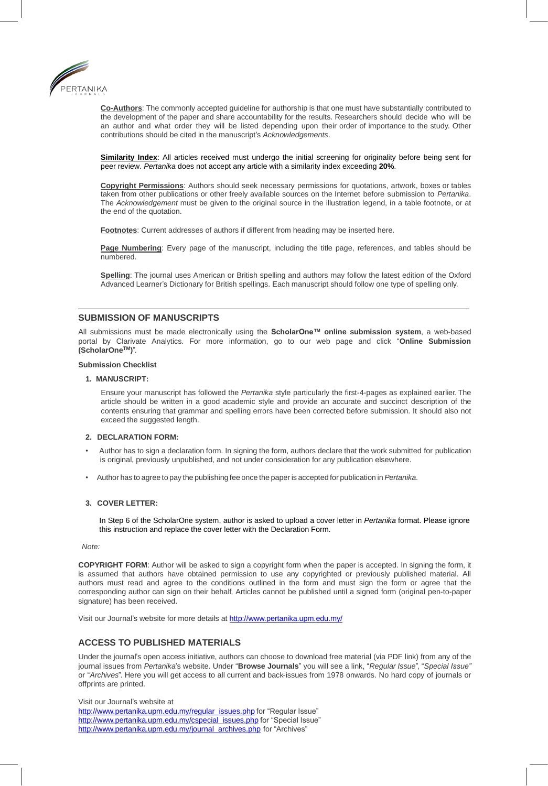

**Co-Authors**: The commonly accepted guideline for authorship is that one must have substantially contributed to the development of the paper and share accountability for the results. Researchers should decide who will be an author and what order they will be listed depending upon their order of importance to the study. Other contributions should be cited in the manuscript's *Acknowledgements*.

**Similarity Index**: All articles received must undergo the initial screening for originality before being sent for peer review. *Pertanika* does not accept any article with a similarity index exceeding **20%**.

**Copyright Permissions**: Authors should seek necessary permissions for quotations, artwork, boxes or tables taken from other publications or other freely available sources on the Internet before submission to *Pertanika*. The *Acknowledgement* must be given to the original source in the illustration legend, in a table footnote, or at the end of the quotation.

**Footnotes**: Current addresses of authors if different from heading may be inserted here.

**Page Numbering**: Every page of the manuscript, including the title page, references, and tables should be numbered.

**Spelling**: The journal uses American or British spelling and authors may follow the latest edition of the Oxford Advanced Learner's Dictionary for British spellings. Each manuscript should follow one type of spelling only.

## **SUBMISSION OF MANUSCRIPTS**

All submissions must be made electronically using the **ScholarOne™ online submission system**, a web-based portal by Clarivate Analytics. For more information, go to our web page and click "**Online Submission (ScholarOneTM)**".

#### **Submission Checklist**

#### **1. MANUSCRIPT:**

Ensure your manuscript has followed the *Pertanika* style particularly the first-4-pages as explained earlier. The article should be written in a good academic style and provide an accurate and succinct description of the contents ensuring that grammar and spelling errors have been corrected before submission. It should also not exceed the suggested length.

#### **2. DECLARATION FORM:**

- Author has to sign a declaration form. In signing the form, authors declare that the work submitted for publication is original, previously unpublished, and not under consideration for any publication elsewhere.
- Author has to agree to pay the publishing fee once the paper is accepted for publication in *Pertanika*.

#### **3. COVER LETTER:**

In Step 6 of the ScholarOne system, author is asked to upload a cover letter in *Pertanika* format. Please ignore this instruction and replace the cover letter with the Declaration Form.

#### *Note:*

**COPYRIGHT FORM**: Author will be asked to sign a copyright form when the paper is accepted. In signing the form, it is assumed that authors have obtained permission to use any copyrighted or previously published material. All authors must read and agree to the conditions outlined in the form and must sign the form or agree that the corresponding author can sign on their behalf. Articles cannot be published until a signed form (original pen-to-paper signature) has been received.

Visit our Journal's website for more details a[t http://www.pertanika.upm.edu.my/](http://www.pertanika.upm.edu.my/)

# **ACCESS TO PUBLISHED MATERIALS**

Under the journal's open access initiative, authors can choose to download free material (via PDF link) from any of the journal issues from *Pertanika*'s website. Under "**Browse Journals**" you will see a link, "*Regular Issue*", "*Special Issue"* or "*Archives*". Here you will get access to all current and back-issues from 1978 onwards. No hard copy of journals or offprints are printed.

Visit our Journal's website at [http://www.pertanika.upm.edu.my/regular\\_issues.php](http://www.pertanika.upm.edu.my/regular_issues.php) for "Regular Issue" [http://www.pertanika.upm.edu.my/cspecial\\_issues.php](http://www.pertanika.upm.edu.my/cspecial_issues.php) for "Special Issue" [http://www.pertanika.upm.edu.my/journal\\_archives.php](http://www.pertanika.upm.edu.my/journal_archives.php) for "Archives"